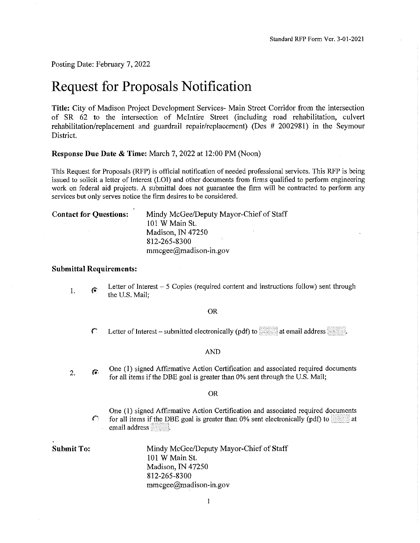Posting Date: February 7, 2022

# **Request for Proposals Notification**

**Title:** City of Madison Project Development Services- Main Street Corridor from the intersection of SR 62 to the intersection of McIntire Street (including road rehabilitation, culvert rehabilitation/replacement and guardrail repair/replacement) (Des # 2002981) in the Seymour District.

**Response Due Date & Time:** March 7, 2022 at 12:00 PM (Noon)

This Request for Proposals (RFP) is official notification of needed professional services. This RFP is being issued to solicit a letter of Interest (LOI) and other documents from firms qualified to perform engineering work on federal aid projects. A submittal does not guarantee the firm will be contracted to perform any services but only serves notice the firm desires to be considered.

| <b>Contact for Questions:</b> |  | Mindy McGe   |
|-------------------------------|--|--------------|
|                               |  | 101 W Main : |

**Contact for Questions:** Mindy McGee/Deputy Mayor-Chief of Staff St. Madison, IN 47250 812-265-8300 mmcgee@madison-in.gov

## **Submittal Requirements:**

Letter of Interest - 5 Copies (required content and instructions follow) sent through I.  $\widehat{\bullet}$ the U.S. Mail;

#### OR

 $\text{C}$  Letter of Interest – submitted electronically (pdf) to at email address  $\blacksquare$ .

#### AND

One (I) signed Affirmative Action Certification and associated required documents 2. 傽 for all items if the DBE goal is greater than 0% sent through the U.S. Mail;

#### OR

One (I) signed Affirmative Action Certification and associated required documents **1 for all items if the DBE goal is greater than 0% sent electronically (pdf) to at at** email address **\*\*\***\*\*\*\*\*\*\*\*\*\*\*\*\*\*\*\*\*\*\*

**Submit To:** Mindy McGee/Deputy Mayor-Chief of Staff IOI WMain St. Madison, IN 47250 812-265-8300 mmcgee@madison-in.gov

1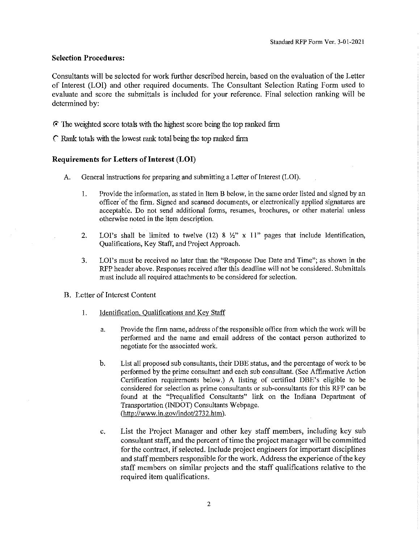#### **Selection Procedures:**

Consultants will be selected for work further described herein, based on the evaluation of the Letter of Interest (LOI) and other required documents. The Consultant Selection Rating Form used to evaluate and score the submittals is included for your reference. Final selection ranking will be determined by:

**f-'** The weighted score totals with the highest score being the top ranked firm

*('* Rank totals with the lowest rank total being the top ranked firm

### **Requirements for Letters of Interest (LOI)**

- A. General instructions for preparing and submitting a Letter of Interest (LOI).
	- 1. Provide the information, as stated in Item B below, in the same order listed and signed by an officer· of the firm. Signed and scanned documents, or electronically applied signatures are acceptable. Do not send additional forms, resumes, brochures, or other material unless otherwise noted in the item description.
	- 2. LOI's shall be limited to twelve  $(12)$  8  $\frac{1}{2}$ " x 11" pages that include Identification, Qualifications, Key Staff, and Project Approach.
	- 3. LOI's must be received no later than the "Response Due Date and Time"; as shown in the RFP header above. Responses received after this deadline will not be considered. Submittals must include all required attachments to be considered for selection.
- B. Letter of Interest Content
	- 1. Identification, Qualifications and Key Staff
		- a. Provide the firm name, address of the responsible office from which the work will be performed and the name and email address of the contact person authorized to negotiate for the associated work.
		- b. List all proposed sub consultants, their DBE status, and the percentage of work to be performed by the prime consultant and each sub consultant. (See Affirmative Action Certification requirements below.) A listing of certified DBE's eligible to be considered for selection as prime consultants or sub-consultants for this RFP can be found at the "Prequalified Consultants" link on the Indiana Department of Transportation (]NDOT) Consultants Webpage. (http://www.in.gov/indot/2732.htm).
		- c. List the Project Manager and other key staff members, including key sub consultant staff, and the percent of time the project manager will be committed for the contract, if selected. Include project engineers for important disciplines and staff members responsible for the work. Address the experience of the key staff members on similar projects and the staff qualifications relative to the required item qualifications.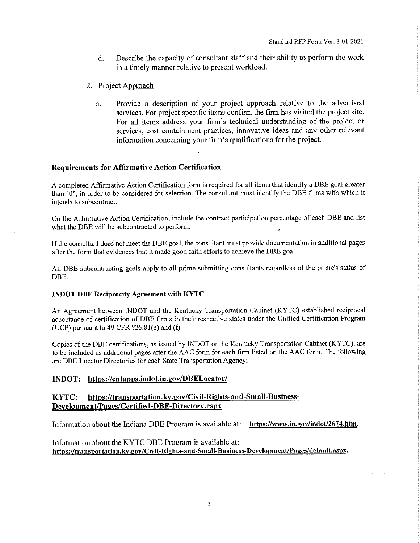- d. Describe the capacity of consultant staff and their ability to perform the work in a timely manner relative to present workload.
- 2. Project Approach
	- a. Provide a description of your project approach relative to the advertised services. For project specific items confirm the firm has visited the project site. For all items address your firm's technical understanding of the project or services, cost containment practices, innovative ideas and any other relevant information concerning your firm's qualifications for the project.

## **Requirements for Affirmative Action Certification**

A completed Affirmative Action Certification form is required for all items that identify a DBE goal greater than "0", in order to be considered for selection. The consultant must identify the DBE firms with which it intends to subcontract.

On the Affirmative Action Certification, include the contract participation percentage of each DBE and list what the DBE will be subcontracted to perform.

If the consultant does not meet the DBE goal, the consultant must provide documentation in additional pages after the form that evidences that it made good faith efforts to achieve the DBE goal.

All DBE subcontracting goals apply to all prime submitting consultants regardless of the prime's status of DBE.

# **INDOT DBE Reciprocity Agreement with KYTC**

An Agreement between INDOT and the Kentucky Transportation Cabinet (KYTC) established reciprocal acceptance of certification of DBE firms in their respective states under the Unified Certification Program (UCP) pursuant to  $49$  CFR  $?26.81(e)$  and (f).

Copies of the DBE certifications, as issued by INDOT or the Kentucky Transportation Cabinet (KYTC), are to be included as additional pages after the AAC form for each firm listed on the AAC form. The following are DBE Locator Directories for each State Transportation Agency:

## **INDOT: https://entapps.indot.in.gov/DBELocator/**

# **KYTC: https://transportation.ky.gov/Civil-Rights-and-Small-Business-Development/Pages/Certified-DBE-Directory.aspx**

Information about the Indiana DBE Program is available at: **https://www.in.gov/indot/2674.htm.** 

Information about the KYTC DBE Program is available at: **https://transportation.ky.gov/Civil-Rights-and-Small-Business-Development/Pages/default.aspx.**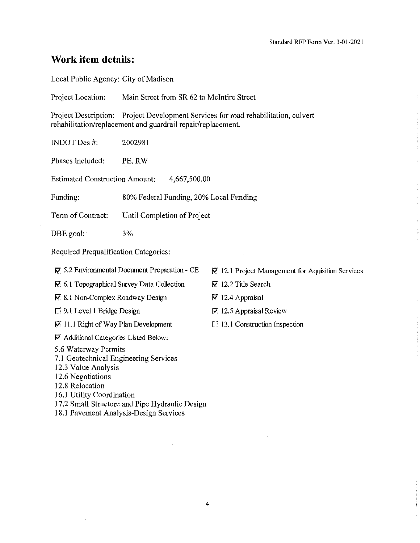# **Work item details:**

Local Public Agency: City of Madison

Project Location: Main Street from SR 62 to McIntire Street

Project Description: Project Development Services for road rehabilitation, culvert rehabilitation/replacement and guardrail repair/replacement.

INDOTDes#: 2002981

Phases Included: PE,RW

Estimated Construction Amount: 4,667,500.00

Funding: 80% Federal Funding, 20% Local Funding

Term of Contract: Until Completion of Project

DBE goal: 3%

Required Prequalification Categories:

**17** 5.2 Environmental Document Preparation - CE

**17** 6.1 Topographical Survey Data Collection

**17** 8.1 Non-Complex Roadway Design

 $\Box$  9.1 Level 1 Bridge Design

**17** 11.1 Right of Way Plan Development

**17** Additional Categories Listed Below:

5 .6 Waterway Permits

- 7 .1 Geotechnical Engineering Services
- 12.3 Value Analysis

12.6 Negotiations

12.8 Relocation

16.1 Utility Coordination

17.2 Small Structure and Pipe Hydraulic Design

18.1 Pavement Analysis-Design Services

**17** 12.1 Project Management for Aquisition Services

**P"** 12. 2 Title Search

- **P"** 12.4 Appraisal
- **17** 12.5 Appraisal Review
- $\Box$  13.1 Construction Inspection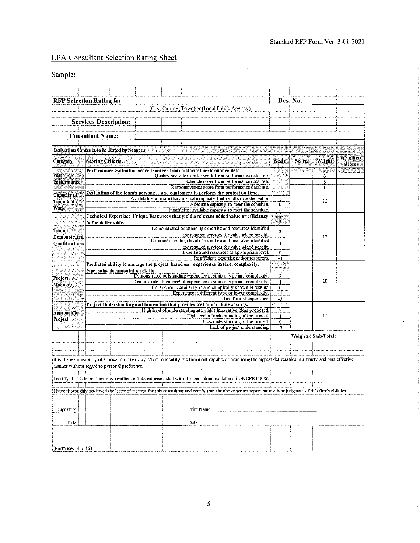# **LPA Consultant Selection Rating Sheet**

# Sample:

|                                  | <b>RFP Selection Rating for</b>                                                                                                            |                         |  |                                                                                                                                                                 | Des. No.         |       |                     |                   |
|----------------------------------|--------------------------------------------------------------------------------------------------------------------------------------------|-------------------------|--|-----------------------------------------------------------------------------------------------------------------------------------------------------------------|------------------|-------|---------------------|-------------------|
|                                  |                                                                                                                                            |                         |  | (City, County, Town) or (Local Public Agency)                                                                                                                   |                  |       |                     |                   |
|                                  |                                                                                                                                            |                         |  |                                                                                                                                                                 |                  |       |                     |                   |
|                                  | <b>Services Description:</b>                                                                                                               |                         |  |                                                                                                                                                                 |                  |       |                     |                   |
|                                  | <b>Consultant Name:</b>                                                                                                                    |                         |  |                                                                                                                                                                 |                  |       |                     |                   |
|                                  |                                                                                                                                            |                         |  |                                                                                                                                                                 |                  |       |                     |                   |
|                                  | <b>Evaluation Criteria to be Rated by Scorers</b>                                                                                          |                         |  |                                                                                                                                                                 |                  |       |                     |                   |
| Category                         | <b>Scoring Criteria</b>                                                                                                                    |                         |  |                                                                                                                                                                 | Scale            | Score | Weight              | Weighted<br>Score |
|                                  |                                                                                                                                            |                         |  | Performance evaluation score averages from historical performance data.                                                                                         |                  |       |                     |                   |
| Past                             |                                                                                                                                            |                         |  | Quality score for similar work from performance database.                                                                                                       |                  |       | 6                   |                   |
| Performance                      |                                                                                                                                            |                         |  | Schedule score from performance database<br>Responsiveness score from performance database                                                                      |                  |       | 3                   |                   |
|                                  |                                                                                                                                            |                         |  | Evaluation of the team's personnel and equipment to perform the project on time.                                                                                |                  |       |                     |                   |
| <b>Capacity of</b><br>Team to do |                                                                                                                                            |                         |  | Availability of more than adequate capacity that results in added value                                                                                         | 1                |       | 20                  |                   |
| Work                             |                                                                                                                                            |                         |  | Adequate capacity to meet the schedule.                                                                                                                         | $\bf{0}$         |       |                     |                   |
|                                  |                                                                                                                                            |                         |  | Insufficient available capacity to meet the schedule.                                                                                                           | -1               |       |                     |                   |
|                                  | to the deliverable.                                                                                                                        |                         |  | Technical Expertise: Unique Resources that yield a relevant added value or efficiency                                                                           |                  |       |                     |                   |
| Team's                           |                                                                                                                                            |                         |  | Demonstrated outstanding expertise and resources identified                                                                                                     | $\mathbf{2}$     |       |                     |                   |
| Demonstrated                     |                                                                                                                                            |                         |  | for required services for value added benefit.<br>Demonstrated high level of expertise and resources identified                                                 |                  |       | 15                  |                   |
| <b>Oualifications</b>            |                                                                                                                                            |                         |  | for required services for value added benefit.                                                                                                                  | 1                |       |                     |                   |
|                                  |                                                                                                                                            |                         |  | Expertise and resources at appropriate level.                                                                                                                   | 0                |       |                     |                   |
|                                  |                                                                                                                                            |                         |  | Insufficient expertise and/or resources                                                                                                                         | $-3$             |       |                     |                   |
|                                  |                                                                                                                                            |                         |  | Predicted ability to manage the project, based on: experience in size, complexity,                                                                              |                  |       |                     |                   |
|                                  | type, subs, documentation skills.                                                                                                          |                         |  |                                                                                                                                                                 |                  |       |                     |                   |
| Project                          | Demonstrated outstanding experience in similar type and complexity<br>Demonstrated high level of experience in similar type and complexity |                         |  |                                                                                                                                                                 | $\boldsymbol{2}$ |       | 20                  |                   |
| Manager                          |                                                                                                                                            |                         |  | Experience in similar type and complexity shown in resume.                                                                                                      | 1<br>0           |       |                     |                   |
|                                  |                                                                                                                                            |                         |  | Experience in different type or lower complexity                                                                                                                | $-1$             |       |                     |                   |
|                                  |                                                                                                                                            | Insufficient experience |  |                                                                                                                                                                 |                  |       |                     |                   |
|                                  |                                                                                                                                            |                         |  | Project Understanding and Innovation that provides cost and/or time savings.                                                                                    | $-3$             |       | 15                  |                   |
| Approach to                      |                                                                                                                                            |                         |  | High level of understanding and viable innovative ideas proposed.                                                                                               | $\overline{2}$   |       |                     |                   |
| Project                          |                                                                                                                                            |                         |  | High level of understanding of the project.                                                                                                                     | $\mathbf{1}$     |       |                     |                   |
|                                  |                                                                                                                                            |                         |  | Basic understanding of the project<br>Lack of project understanding                                                                                             | $\bf{0}$<br>$-3$ |       |                     |                   |
|                                  |                                                                                                                                            |                         |  |                                                                                                                                                                 |                  |       |                     |                   |
|                                  |                                                                                                                                            |                         |  |                                                                                                                                                                 |                  |       | Weighted Sub-Total: |                   |
|                                  |                                                                                                                                            |                         |  |                                                                                                                                                                 |                  |       |                     |                   |
|                                  |                                                                                                                                            |                         |  |                                                                                                                                                                 |                  |       |                     |                   |
|                                  | manner without regard to personal preference.                                                                                              |                         |  | It is the responsibility of scorers to make every effort to identify the firm most capable of producing the highest deliverables in a timely and cost effective |                  |       |                     |                   |
|                                  |                                                                                                                                            |                         |  |                                                                                                                                                                 |                  |       |                     |                   |
|                                  |                                                                                                                                            |                         |  | I certify that I do not have any conflicts of interest associated with this consultant as defined in 49CFR118.36.                                               |                  |       |                     |                   |
|                                  |                                                                                                                                            |                         |  | I have thoroughly reviewed the letter of interest for this consultant and certify that the above scores represent my best judgment of this firm's abilities.    |                  |       |                     |                   |
|                                  |                                                                                                                                            |                         |  |                                                                                                                                                                 |                  |       |                     |                   |
|                                  |                                                                                                                                            |                         |  |                                                                                                                                                                 |                  |       |                     |                   |
| Signature:                       |                                                                                                                                            |                         |  | Print Name:                                                                                                                                                     |                  |       |                     |                   |
|                                  |                                                                                                                                            |                         |  |                                                                                                                                                                 |                  |       |                     |                   |
| Title:                           |                                                                                                                                            |                         |  | Date:                                                                                                                                                           |                  |       |                     |                   |
|                                  |                                                                                                                                            |                         |  |                                                                                                                                                                 |                  |       |                     |                   |
|                                  |                                                                                                                                            |                         |  |                                                                                                                                                                 |                  |       |                     |                   |
|                                  |                                                                                                                                            |                         |  |                                                                                                                                                                 |                  |       |                     |                   |
| (Form Rev. 4-7-16)               |                                                                                                                                            |                         |  |                                                                                                                                                                 |                  |       |                     |                   |